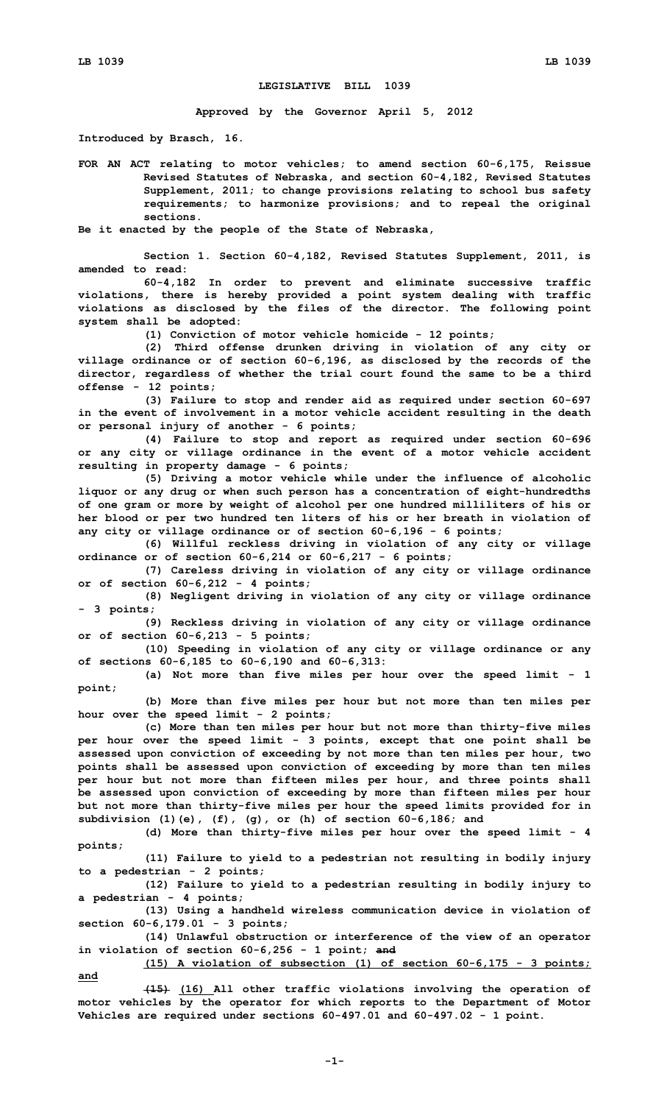## **LEGISLATIVE BILL 1039**

**Approved by the Governor April 5, 2012**

**Introduced by Brasch, 16.**

**FOR AN ACT relating to motor vehicles; to amend section 60-6,175, Reissue Revised Statutes of Nebraska, and section 60-4,182, Revised Statutes Supplement, 2011; to change provisions relating to school bus safety requirements; to harmonize provisions; and to repeal the original sections.**

**Be it enacted by the people of the State of Nebraska,**

**Section 1. Section 60-4,182, Revised Statutes Supplement, 2011, is amended to read:**

**60-4,182 In order to prevent and eliminate successive traffic violations, there is hereby provided <sup>a</sup> point system dealing with traffic violations as disclosed by the files of the director. The following point system shall be adopted:**

**(1) Conviction of motor vehicle homicide - 12 points;**

**(2) Third offense drunken driving in violation of any city or village ordinance or of section 60-6,196, as disclosed by the records of the director, regardless of whether the trial court found the same to be <sup>a</sup> third offense - 12 points;**

**(3) Failure to stop and render aid as required under section 60-697 in the event of involvement in <sup>a</sup> motor vehicle accident resulting in the death or personal injury of another - 6 points;**

**(4) Failure to stop and report as required under section 60-696 or any city or village ordinance in the event of <sup>a</sup> motor vehicle accident resulting in property damage - 6 points;**

**(5) Driving <sup>a</sup> motor vehicle while under the influence of alcoholic liquor or any drug or when such person has <sup>a</sup> concentration of eight-hundredths of one gram or more by weight of alcohol per one hundred milliliters of his or her blood or per two hundred ten liters of his or her breath in violation of any city or village ordinance or of section 60-6,196 - 6 points;**

**(6) Willful reckless driving in violation of any city or village ordinance or of section 60-6,214 or 60-6,217 - 6 points;**

**(7) Careless driving in violation of any city or village ordinance or of section 60-6,212 - 4 points;**

**(8) Negligent driving in violation of any city or village ordinance - 3 points;**

**(9) Reckless driving in violation of any city or village ordinance or of section 60-6,213 - 5 points;**

**(10) Speeding in violation of any city or village ordinance or any of sections 60-6,185 to 60-6,190 and 60-6,313:**

**(a) Not more than five miles per hour over the speed limit - 1 point;**

**(b) More than five miles per hour but not more than ten miles per hour over the speed limit - 2 points;**

**(c) More than ten miles per hour but not more than thirty-five miles per hour over the speed limit - 3 points, except that one point shall be assessed upon conviction of exceeding by not more than ten miles per hour, two points shall be assessed upon conviction of exceeding by more than ten miles per hour but not more than fifteen miles per hour, and three points shall be assessed upon conviction of exceeding by more than fifteen miles per hour but not more than thirty-five miles per hour the speed limits provided for in subdivision (1)(e), (f), (g), or (h) of section 60-6,186; and**

**(d) More than thirty-five miles per hour over the speed limit - 4 points;**

**(11) Failure to yield to <sup>a</sup> pedestrian not resulting in bodily injury to <sup>a</sup> pedestrian - 2 points;**

**(12) Failure to yield to <sup>a</sup> pedestrian resulting in bodily injury to <sup>a</sup> pedestrian - 4 points;**

**(13) Using <sup>a</sup> handheld wireless communication device in violation of section 60-6,179.01 - 3 points;**

**(14) Unlawful obstruction or interference of the view of an operator in violation of section 60-6,256 - 1 point; and**

**(15) <sup>A</sup> violation of subsection (1) of section 60-6,175 - 3 points; and**

**(15) (16) All other traffic violations involving the operation of motor vehicles by the operator for which reports to the Department of Motor Vehicles are required under sections 60-497.01 and 60-497.02 - 1 point.**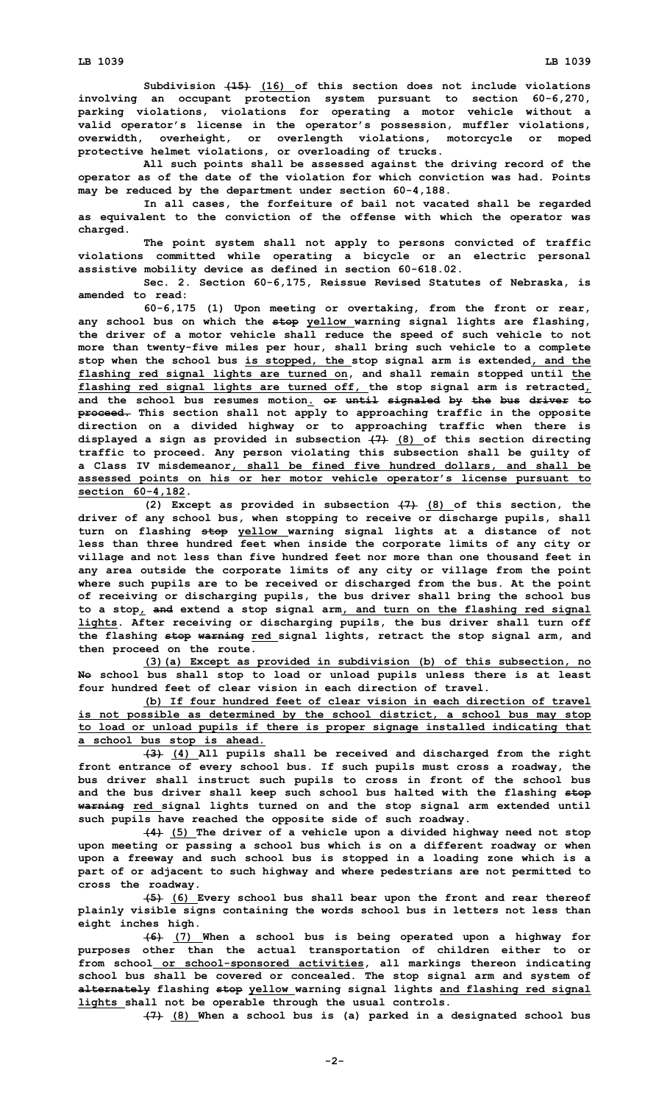**Subdivision (15) (16) of this section does not include violations involving an occupant protection system pursuant to section 60-6,270, parking violations, violations for operating <sup>a</sup> motor vehicle without <sup>a</sup> valid operator's license in the operator's possession, muffler violations, overwidth, overheight, or overlength violations, motorcycle or moped protective helmet violations, or overloading of trucks.**

**All such points shall be assessed against the driving record of the operator as of the date of the violation for which conviction was had. Points may be reduced by the department under section 60-4,188.**

**In all cases, the forfeiture of bail not vacated shall be regarded as equivalent to the conviction of the offense with which the operator was charged.**

**The point system shall not apply to persons convicted of traffic violations committed while operating <sup>a</sup> bicycle or an electric personal assistive mobility device as defined in section 60-618.02.**

**Sec. 2. Section 60-6,175, Reissue Revised Statutes of Nebraska, is amended to read:**

**60-6,175 (1) Upon meeting or overtaking, from the front or rear, any school bus on which the stop yellow warning signal lights are flashing, the driver of <sup>a</sup> motor vehicle shall reduce the speed of such vehicle to not more than twenty-five miles per hour, shall bring such vehicle to <sup>a</sup> complete stop when the school bus is stopped, the stop signal arm is extended, and the flashing red signal lights are turned on, and shall remain stopped until the flashing red signal lights are turned off, the stop signal arm is retracted, and the school bus resumes motion. or until signaled by the bus driver to proceed. This section shall not apply to approaching traffic in the opposite direction on <sup>a</sup> divided highway or to approaching traffic when there is displayed <sup>a</sup> sign as provided in subsection (7) (8) of this section directing traffic to proceed. Any person violating this subsection shall be guilty of <sup>a</sup> Class IV misdemeanor, shall be fined five hundred dollars, and shall be assessed points on his or her motor vehicle operator's license pursuant to section 60-4,182.**

**(2) Except as provided in subsection (7) (8) of this section, the driver of any school bus, when stopping to receive or discharge pupils, shall turn on flashing stop yellow warning signal lights at <sup>a</sup> distance of not less than three hundred feet when inside the corporate limits of any city or village and not less than five hundred feet nor more than one thousand feet in any area outside the corporate limits of any city or village from the point where such pupils are to be received or discharged from the bus. At the point of receiving or discharging pupils, the bus driver shall bring the school bus to <sup>a</sup> stop, and extend <sup>a</sup> stop signal arm, and turn on the flashing red signal lights. After receiving or discharging pupils, the bus driver shall turn off the flashing stop warning red signal lights, retract the stop signal arm, and then proceed on the route.**

**(3)(a) Except as provided in subdivision (b) of this subsection, no No school bus shall stop to load or unload pupils unless there is at least four hundred feet of clear vision in each direction of travel.**

**(b) If four hundred feet of clear vision in each direction of travel is not possible as determined by the school district, <sup>a</sup> school bus may stop to load or unload pupils if there is proper signage installed indicating that <sup>a</sup> school bus stop is ahead.**

**(3) (4) All pupils shall be received and discharged from the right front entrance of every school bus. If such pupils must cross <sup>a</sup> roadway, the bus driver shall instruct such pupils to cross in front of the school bus and the bus driver shall keep such school bus halted with the flashing stop warning red signal lights turned on and the stop signal arm extended until such pupils have reached the opposite side of such roadway.**

**(4) (5) The driver of <sup>a</sup> vehicle upon <sup>a</sup> divided highway need not stop upon meeting or passing <sup>a</sup> school bus which is on <sup>a</sup> different roadway or when upon <sup>a</sup> freeway and such school bus is stopped in <sup>a</sup> loading zone which is <sup>a</sup> part of or adjacent to such highway and where pedestrians are not permitted to cross the roadway.**

**(5) (6) Every school bus shall bear upon the front and rear thereof plainly visible signs containing the words school bus in letters not less than eight inches high.**

**(6) (7) When <sup>a</sup> school bus is being operated upon <sup>a</sup> highway for purposes other than the actual transportation of children either to or from school or school-sponsored activities, all markings thereon indicating school bus shall be covered or concealed. The stop signal arm and system of alternately flashing stop yellow warning signal lights and flashing red signal lights shall not be operable through the usual controls.**

**(7) (8) When <sup>a</sup> school bus is (a) parked in <sup>a</sup> designated school bus**